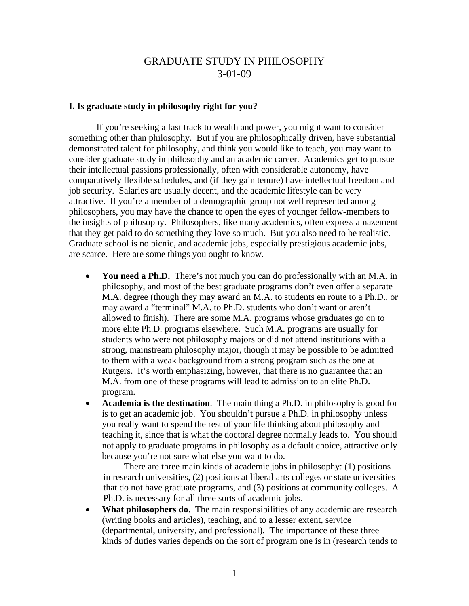# GRADUATE STUDY IN PHILOSOPHY 3-01-09

## **I. Is graduate study in philosophy right for you?**

 If you're seeking a fast track to wealth and power, you might want to consider something other than philosophy. But if you are philosophically driven, have substantial demonstrated talent for philosophy, and think you would like to teach, you may want to consider graduate study in philosophy and an academic career. Academics get to pursue their intellectual passions professionally, often with considerable autonomy, have comparatively flexible schedules, and (if they gain tenure) have intellectual freedom and job security. Salaries are usually decent, and the academic lifestyle can be very attractive. If you're a member of a demographic group not well represented among philosophers, you may have the chance to open the eyes of younger fellow-members to the insights of philosophy. Philosophers, like many academics, often express amazement that they get paid to do something they love so much. But you also need to be realistic. Graduate school is no picnic, and academic jobs, especially prestigious academic jobs, are scarce. Here are some things you ought to know.

- **You need a Ph.D.** There's not much you can do professionally with an M.A. in philosophy, and most of the best graduate programs don't even offer a separate M.A. degree (though they may award an M.A. to students en route to a Ph.D., or may award a "terminal" M.A. to Ph.D. students who don't want or aren't allowed to finish). There are some M.A. programs whose graduates go on to more elite Ph.D. programs elsewhere. Such M.A. programs are usually for students who were not philosophy majors or did not attend institutions with a strong, mainstream philosophy major, though it may be possible to be admitted to them with a weak background from a strong program such as the one at Rutgers. It's worth emphasizing, however, that there is no guarantee that an M.A. from one of these programs will lead to admission to an elite Ph.D. program.
- **Academia is the destination**. The main thing a Ph.D. in philosophy is good for is to get an academic job. You shouldn't pursue a Ph.D. in philosophy unless you really want to spend the rest of your life thinking about philosophy and teaching it, since that is what the doctoral degree normally leads to. You should not apply to graduate programs in philosophy as a default choice, attractive only because you're not sure what else you want to do.

There are three main kinds of academic jobs in philosophy: (1) positions in research universities, (2) positions at liberal arts colleges or state universities that do not have graduate programs, and (3) positions at community colleges. A Ph.D. is necessary for all three sorts of academic jobs.

• **What philosophers do**. The main responsibilities of any academic are research (writing books and articles), teaching, and to a lesser extent, service (departmental, university, and professional). The importance of these three kinds of duties varies depends on the sort of program one is in (research tends to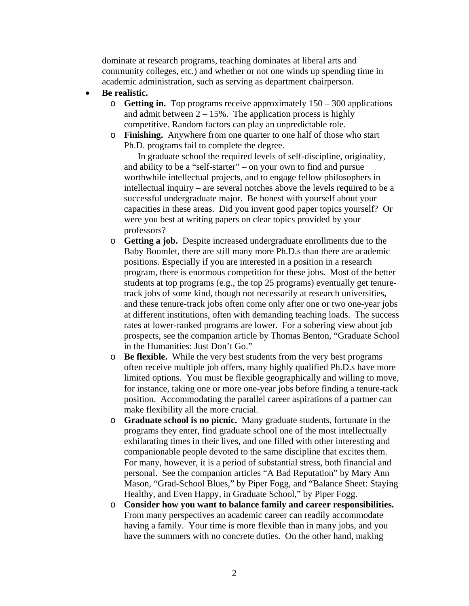dominate at research programs, teaching dominates at liberal arts and community colleges, etc.) and whether or not one winds up spending time in academic administration, such as serving as department chairperson.

- **Be realistic.** 
	- o **Getting in.** Top programs receive approximately 150 300 applications and admit between  $2 - 15\%$ . The application process is highly competitive. Random factors can play an unpredictable role.
	- o **Finishing.** Anywhere from one quarter to one half of those who start Ph.D. programs fail to complete the degree.

In graduate school the required levels of self-discipline, originality, and ability to be a "self-starter" – on your own to find and pursue worthwhile intellectual projects, and to engage fellow philosophers in intellectual inquiry – are several notches above the levels required to be a successful undergraduate major. Be honest with yourself about your capacities in these areas. Did you invent good paper topics yourself? Or were you best at writing papers on clear topics provided by your professors?

- o **Getting a job.** Despite increased undergraduate enrollments due to the Baby Boomlet, there are still many more Ph.D.s than there are academic positions. Especially if you are interested in a position in a research program, there is enormous competition for these jobs. Most of the better students at top programs (e.g., the top 25 programs) eventually get tenuretrack jobs of some kind, though not necessarily at research universities, and these tenure-track jobs often come only after one or two one-year jobs at different institutions, often with demanding teaching loads. The success rates at lower-ranked programs are lower. For a sobering view about job prospects, see the companion article by Thomas Benton, "Graduate School in the Humanities: Just Don't Go."
- o **Be flexible.** While the very best students from the very best programs often receive multiple job offers, many highly qualified Ph.D.s have more limited options. You must be flexible geographically and willing to move, for instance, taking one or more one-year jobs before finding a tenure-tack position. Accommodating the parallel career aspirations of a partner can make flexibility all the more crucial.
- o **Graduate school is no picnic.** Many graduate students, fortunate in the programs they enter, find graduate school one of the most intellectually exhilarating times in their lives, and one filled with other interesting and companionable people devoted to the same discipline that excites them. For many, however, it is a period of substantial stress, both financial and personal. See the companion articles "A Bad Reputation" by Mary Ann Mason, "Grad-School Blues," by Piper Fogg, and "Balance Sheet: Staying Healthy, and Even Happy, in Graduate School," by Piper Fogg.
- o **Consider how you want to balance family and career responsibilities.** From many perspectives an academic career can readily accommodate having a family. Your time is more flexible than in many jobs, and you have the summers with no concrete duties. On the other hand, making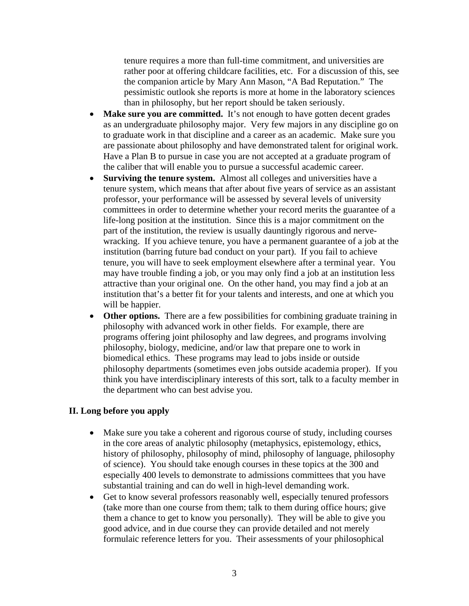tenure requires a more than full-time commitment, and universities are rather poor at offering childcare facilities, etc. For a discussion of this, see the companion article by Mary Ann Mason, "A Bad Reputation." The pessimistic outlook she reports is more at home in the laboratory sciences than in philosophy, but her report should be taken seriously.

- **Make sure you are committed.** It's not enough to have gotten decent grades as an undergraduate philosophy major. Very few majors in any discipline go on to graduate work in that discipline and a career as an academic. Make sure you are passionate about philosophy and have demonstrated talent for original work. Have a Plan B to pursue in case you are not accepted at a graduate program of the caliber that will enable you to pursue a successful academic career.
- **Surviving the tenure system.** Almost all colleges and universities have a tenure system, which means that after about five years of service as an assistant professor, your performance will be assessed by several levels of university committees in order to determine whether your record merits the guarantee of a life-long position at the institution. Since this is a major commitment on the part of the institution, the review is usually dauntingly rigorous and nervewracking. If you achieve tenure, you have a permanent guarantee of a job at the institution (barring future bad conduct on your part). If you fail to achieve tenure, you will have to seek employment elsewhere after a terminal year. You may have trouble finding a job, or you may only find a job at an institution less attractive than your original one. On the other hand, you may find a job at an institution that's a better fit for your talents and interests, and one at which you will be happier.
- Other options. There are a few possibilities for combining graduate training in philosophy with advanced work in other fields. For example, there are programs offering joint philosophy and law degrees, and programs involving philosophy, biology, medicine, and/or law that prepare one to work in biomedical ethics. These programs may lead to jobs inside or outside philosophy departments (sometimes even jobs outside academia proper). If you think you have interdisciplinary interests of this sort, talk to a faculty member in the department who can best advise you.

## **II. Long before you apply**

- Make sure you take a coherent and rigorous course of study, including courses in the core areas of analytic philosophy (metaphysics, epistemology, ethics, history of philosophy, philosophy of mind, philosophy of language, philosophy of science). You should take enough courses in these topics at the 300 and especially 400 levels to demonstrate to admissions committees that you have substantial training and can do well in high-level demanding work.
- Get to know several professors reasonably well, especially tenured professors (take more than one course from them; talk to them during office hours; give them a chance to get to know you personally). They will be able to give you good advice, and in due course they can provide detailed and not merely formulaic reference letters for you. Their assessments of your philosophical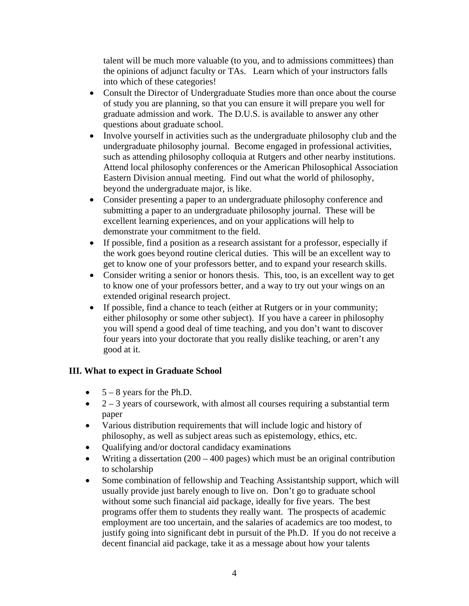talent will be much more valuable (to you, and to admissions committees) than the opinions of adjunct faculty or TAs. Learn which of your instructors falls into which of these categories!

- Consult the Director of Undergraduate Studies more than once about the course of study you are planning, so that you can ensure it will prepare you well for graduate admission and work. The D.U.S. is available to answer any other questions about graduate school.
- Involve yourself in activities such as the undergraduate philosophy club and the undergraduate philosophy journal. Become engaged in professional activities, such as attending philosophy colloquia at Rutgers and other nearby institutions. Attend local philosophy conferences or the American Philosophical Association Eastern Division annual meeting. Find out what the world of philosophy, beyond the undergraduate major, is like.
- Consider presenting a paper to an undergraduate philosophy conference and submitting a paper to an undergraduate philosophy journal. These will be excellent learning experiences, and on your applications will help to demonstrate your commitment to the field.
- If possible, find a position as a research assistant for a professor, especially if the work goes beyond routine clerical duties. This will be an excellent way to get to know one of your professors better, and to expand your research skills.
- Consider writing a senior or honors thesis. This, too, is an excellent way to get to know one of your professors better, and a way to try out your wings on an extended original research project.
- If possible, find a chance to teach (either at Rutgers or in your community; either philosophy or some other subject). If you have a career in philosophy you will spend a good deal of time teaching, and you don't want to discover four years into your doctorate that you really dislike teaching, or aren't any good at it.

## **III. What to expect in Graduate School**

- $\bullet$  5 8 years for the Ph.D.
- $\bullet$  2 3 years of coursework, with almost all courses requiring a substantial term paper
- Various distribution requirements that will include logic and history of philosophy, as well as subject areas such as epistemology, ethics, etc.
- Qualifying and/or doctoral candidacy examinations
- Writing a dissertation  $(200 400$  pages) which must be an original contribution to scholarship
- Some combination of fellowship and Teaching Assistantship support, which will usually provide just barely enough to live on. Don't go to graduate school without some such financial aid package, ideally for five years. The best programs offer them to students they really want. The prospects of academic employment are too uncertain, and the salaries of academics are too modest, to justify going into significant debt in pursuit of the Ph.D. If you do not receive a decent financial aid package, take it as a message about how your talents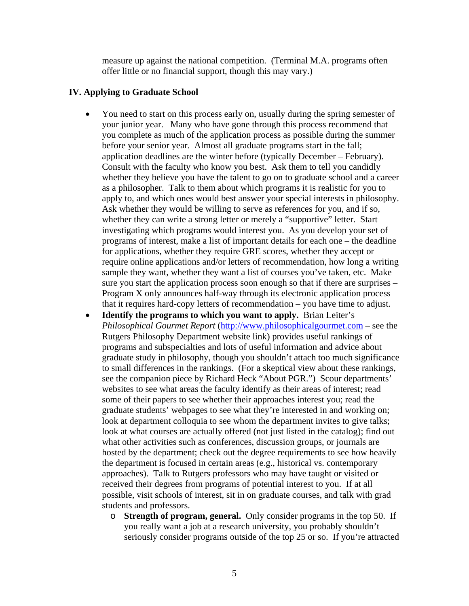measure up against the national competition. (Terminal M.A. programs often offer little or no financial support, though this may vary.)

## **IV. Applying to Graduate School**

- You need to start on this process early on, usually during the spring semester of your junior year. Many who have gone through this process recommend that you complete as much of the application process as possible during the summer before your senior year. Almost all graduate programs start in the fall; application deadlines are the winter before (typically December – February). Consult with the faculty who know you best. Ask them to tell you candidly whether they believe you have the talent to go on to graduate school and a career as a philosopher. Talk to them about which programs it is realistic for you to apply to, and which ones would best answer your special interests in philosophy. Ask whether they would be willing to serve as references for you, and if so, whether they can write a strong letter or merely a "supportive" letter. Start investigating which programs would interest you. As you develop your set of programs of interest, make a list of important details for each one – the deadline for applications, whether they require GRE scores, whether they accept or require online applications and/or letters of recommendation, how long a writing sample they want, whether they want a list of courses you've taken, etc. Make sure you start the application process soon enough so that if there are surprises – Program X only announces half-way through its electronic application process that it requires hard-copy letters of recommendation – you have time to adjust.
- **Identify the programs to which you want to apply.** Brian Leiter's *Philosophical Gourmet Report* [\(http://www.philosophicalgourmet.com](http://www.philosophicalgourmet.com/) – see the Rutgers Philosophy Department website link) provides useful rankings of programs and subspecialties and lots of useful information and advice about graduate study in philosophy, though you shouldn't attach too much significance to small differences in the rankings. (For a skeptical view about these rankings, see the companion piece by Richard Heck "About PGR.") Scour departments' websites to see what areas the faculty identify as their areas of interest; read some of their papers to see whether their approaches interest you; read the graduate students' webpages to see what they're interested in and working on; look at department colloquia to see whom the department invites to give talks; look at what courses are actually offered (not just listed in the catalog); find out what other activities such as conferences, discussion groups, or journals are hosted by the department; check out the degree requirements to see how heavily the department is focused in certain areas (e.g., historical vs. contemporary approaches). Talk to Rutgers professors who may have taught or visited or received their degrees from programs of potential interest to you. If at all possible, visit schools of interest, sit in on graduate courses, and talk with grad students and professors.
	- o **Strength of program, general.** Only consider programs in the top 50. If you really want a job at a research university, you probably shouldn't seriously consider programs outside of the top 25 or so. If you're attracted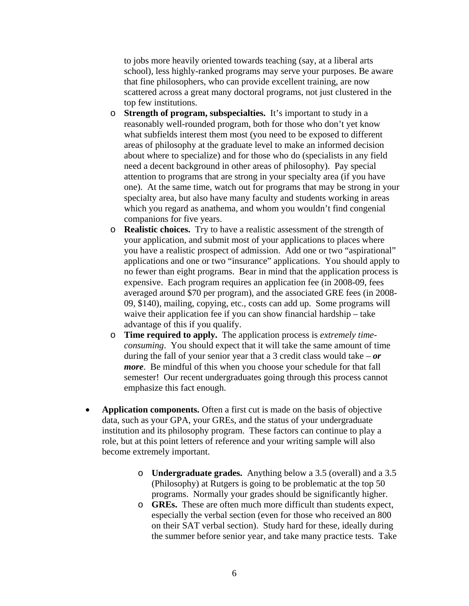to jobs more heavily oriented towards teaching (say, at a liberal arts school), less highly-ranked programs may serve your purposes. Be aware that fine philosophers, who can provide excellent training, are now scattered across a great many doctoral programs, not just clustered in the top few institutions.

- o **Strength of program, subspecialties.** It's important to study in a reasonably well-rounded program, both for those who don't yet know what subfields interest them most (you need to be exposed to different areas of philosophy at the graduate level to make an informed decision about where to specialize) and for those who do (specialists in any field need a decent background in other areas of philosophy). Pay special attention to programs that are strong in your specialty area (if you have one). At the same time, watch out for programs that may be strong in your specialty area, but also have many faculty and students working in areas which you regard as anathema, and whom you wouldn't find congenial companions for five years.
- o **Realistic choices.** Try to have a realistic assessment of the strength of your application, and submit most of your applications to places where you have a realistic prospect of admission. Add one or two "aspirational" applications and one or two "insurance" applications. You should apply to no fewer than eight programs. Bear in mind that the application process is expensive. Each program requires an application fee (in 2008-09, fees averaged around \$70 per program), and the associated GRE fees (in 2008- 09, \$140), mailing, copying, etc., costs can add up. Some programs will waive their application fee if you can show financial hardship – take advantage of this if you qualify.
- o **Time required to apply.** The application process is *extremely timeconsuming*. You should expect that it will take the same amount of time during the fall of your senior year that a 3 credit class would take  $- or$ *more*. Be mindful of this when you choose your schedule for that fall semester! Our recent undergraduates going through this process cannot emphasize this fact enough.
- **Application components.** Often a first cut is made on the basis of objective data, such as your GPA, your GREs, and the status of your undergraduate institution and its philosophy program. These factors can continue to play a role, but at this point letters of reference and your writing sample will also become extremely important.
	- o **Undergraduate grades.** Anything below a 3.5 (overall) and a 3.5 (Philosophy) at Rutgers is going to be problematic at the top 50 programs. Normally your grades should be significantly higher.
	- o **GREs.** These are often much more difficult than students expect, especially the verbal section (even for those who received an 800 on their SAT verbal section). Study hard for these, ideally during the summer before senior year, and take many practice tests. Take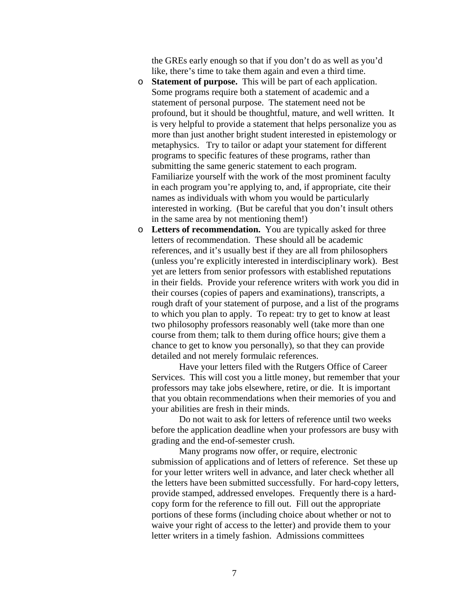the GREs early enough so that if you don't do as well as you'd like, there's time to take them again and even a third time.

- o **Statement of purpose.** This will be part of each application. Some programs require both a statement of academic and a statement of personal purpose. The statement need not be profound, but it should be thoughtful, mature, and well written. It is very helpful to provide a statement that helps personalize you as more than just another bright student interested in epistemology or metaphysics. Try to tailor or adapt your statement for different programs to specific features of these programs, rather than submitting the same generic statement to each program. Familiarize yourself with the work of the most prominent faculty in each program you're applying to, and, if appropriate, cite their names as individuals with whom you would be particularly interested in working. (But be careful that you don't insult others in the same area by not mentioning them!)
- o **Letters of recommendation.** You are typically asked for three letters of recommendation. These should all be academic references, and it's usually best if they are all from philosophers (unless you're explicitly interested in interdisciplinary work). Best yet are letters from senior professors with established reputations in their fields. Provide your reference writers with work you did in their courses (copies of papers and examinations), transcripts, a rough draft of your statement of purpose, and a list of the programs to which you plan to apply. To repeat: try to get to know at least two philosophy professors reasonably well (take more than one course from them; talk to them during office hours; give them a chance to get to know you personally), so that they can provide detailed and not merely formulaic references.

 Have your letters filed with the Rutgers Office of Career Services. This will cost you a little money, but remember that your professors may take jobs elsewhere, retire, or die. It is important that you obtain recommendations when their memories of you and your abilities are fresh in their minds.

 Do not wait to ask for letters of reference until two weeks before the application deadline when your professors are busy with grading and the end-of-semester crush.

Many programs now offer, or require, electronic submission of applications and of letters of reference. Set these up for your letter writers well in advance, and later check whether all the letters have been submitted successfully. For hard-copy letters, provide stamped, addressed envelopes. Frequently there is a hardcopy form for the reference to fill out. Fill out the appropriate portions of these forms (including choice about whether or not to waive your right of access to the letter) and provide them to your letter writers in a timely fashion. Admissions committees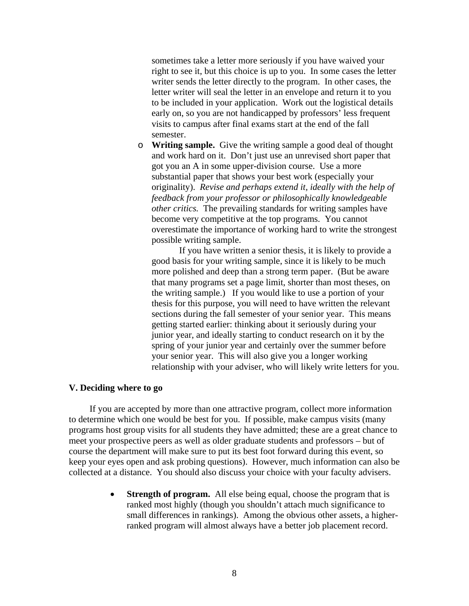sometimes take a letter more seriously if you have waived your right to see it, but this choice is up to you. In some cases the letter writer sends the letter directly to the program. In other cases, the letter writer will seal the letter in an envelope and return it to you to be included in your application. Work out the logistical details early on, so you are not handicapped by professors' less frequent visits to campus after final exams start at the end of the fall semester.

o **Writing sample.** Give the writing sample a good deal of thought and work hard on it. Don't just use an unrevised short paper that got you an A in some upper-division course. Use a more substantial paper that shows your best work (especially your originality). *Revise and perhaps extend it, ideally with the help of feedback from your professor or philosophically knowledgeable other critics.* The prevailing standards for writing samples have become very competitive at the top programs. You cannot overestimate the importance of working hard to write the strongest possible writing sample.

If you have written a senior thesis, it is likely to provide a good basis for your writing sample, since it is likely to be much more polished and deep than a strong term paper. (But be aware that many programs set a page limit, shorter than most theses, on the writing sample.) If you would like to use a portion of your thesis for this purpose, you will need to have written the relevant sections during the fall semester of your senior year. This means getting started earlier: thinking about it seriously during your junior year, and ideally starting to conduct research on it by the spring of your junior year and certainly over the summer before your senior year. This will also give you a longer working relationship with your adviser, who will likely write letters for you.

#### **V. Deciding where to go**

 If you are accepted by more than one attractive program, collect more information to determine which one would be best for you. If possible, make campus visits (many programs host group visits for all students they have admitted; these are a great chance to meet your prospective peers as well as older graduate students and professors – but of course the department will make sure to put its best foot forward during this event, so keep your eyes open and ask probing questions). However, much information can also be collected at a distance. You should also discuss your choice with your faculty advisers.

> **Strength of program.** All else being equal, choose the program that is ranked most highly (though you shouldn't attach much significance to small differences in rankings). Among the obvious other assets, a higherranked program will almost always have a better job placement record.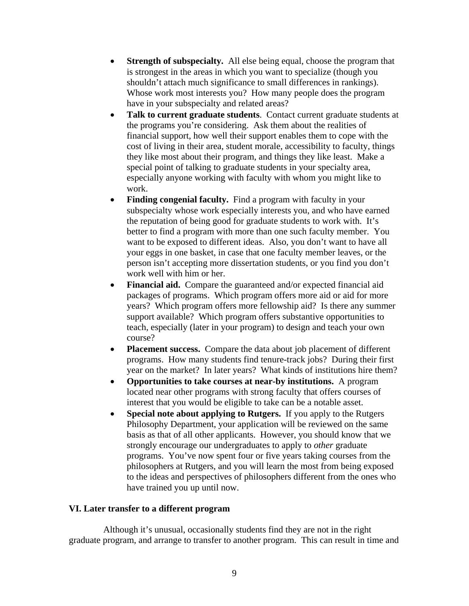- **Strength of subspecialty.** All else being equal, choose the program that is strongest in the areas in which you want to specialize (though you shouldn't attach much significance to small differences in rankings). Whose work most interests you? How many people does the program have in your subspecialty and related areas?
- **Talk to current graduate students**. Contact current graduate students at the programs you're considering. Ask them about the realities of financial support, how well their support enables them to cope with the cost of living in their area, student morale, accessibility to faculty, things they like most about their program, and things they like least. Make a special point of talking to graduate students in your specialty area, especially anyone working with faculty with whom you might like to work.
- **Finding congenial faculty.** Find a program with faculty in your subspecialty whose work especially interests you, and who have earned the reputation of being good for graduate students to work with. It's better to find a program with more than one such faculty member. You want to be exposed to different ideas. Also, you don't want to have all your eggs in one basket, in case that one faculty member leaves, or the person isn't accepting more dissertation students, or you find you don't work well with him or her.
- **Financial aid.** Compare the guaranteed and/or expected financial aid packages of programs. Which program offers more aid or aid for more years? Which program offers more fellowship aid? Is there any summer support available? Which program offers substantive opportunities to teach, especially (later in your program) to design and teach your own course?
- **Placement success.** Compare the data about job placement of different programs. How many students find tenure-track jobs? During their first year on the market? In later years? What kinds of institutions hire them?
- **Opportunities to take courses at near-by institutions.** A program located near other programs with strong faculty that offers courses of interest that you would be eligible to take can be a notable asset.
- **Special note about applying to Rutgers.** If you apply to the Rutgers Philosophy Department, your application will be reviewed on the same basis as that of all other applicants. However, you should know that we strongly encourage our undergraduates to apply to *other* graduate programs. You've now spent four or five years taking courses from the philosophers at Rutgers, and you will learn the most from being exposed to the ideas and perspectives of philosophers different from the ones who have trained you up until now.

### **VI. Later transfer to a different program**

 Although it's unusual, occasionally students find they are not in the right graduate program, and arrange to transfer to another program. This can result in time and